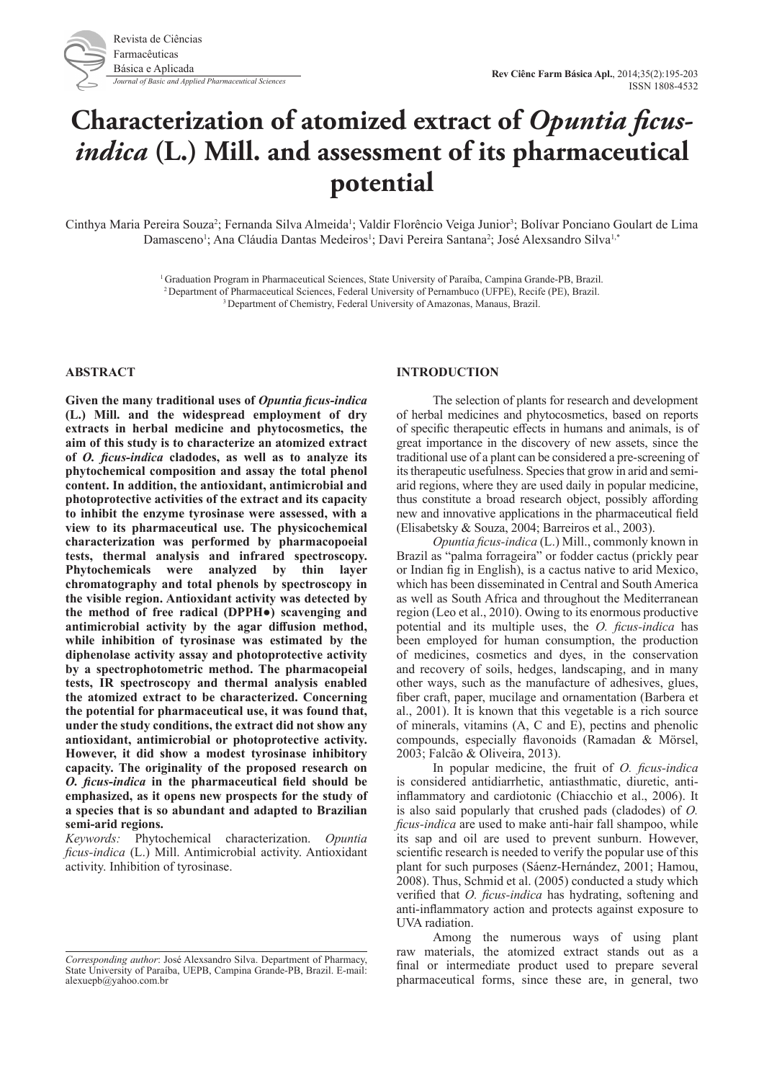

# **Characterization of atomized extract of** *Opuntia ficusindica* **(L.) Mill. and assessment of its pharmaceutical potential**

Cinthya Maria Pereira Souza<sup>2</sup>; Fernanda Silva Almeida<sup>1</sup>; Valdir Florêncio Veiga Junior<sup>3</sup>; Bolívar Ponciano Goulart de Lima Damasceno<sup>1</sup>; Ana Cláudia Dantas Medeiros<sup>1</sup>; Davi Pereira Santana<sup>2</sup>; José Alexsandro Silva<sup>1,</sup>\*

> 1 Graduation Program in Pharmaceutical Sciences, State University of Paraíba, Campina Grande-PB, Brazil. <sup>2</sup> Department of Pharmaceutical Sciences, Federal University of Pernambuco (UFPE), Recife (PE), Brazil.<br><sup>3</sup> Department of Chemistry, Federal University of Amazonas, Manaus, Brazil.

# **ABSTRACT**

**Given the many traditional uses of** *Opuntia ficus-indica*  **(L.) Mill. and the widespread employment of dry extracts in herbal medicine and phytocosmetics, the aim of this study is to characterize an atomized extract of** *O. ficus-indica* **cladodes, as well as to analyze its phytochemical composition and assay the total phenol content. In addition, the antioxidant, antimicrobial and photoprotective activities of the extract and its capacity to inhibit the enzyme tyrosinase were assessed, with a view to its pharmaceutical use. The physicochemical characterization was performed by pharmacopoeial tests, thermal analysis and infrared spectroscopy. Phytochemicals were analyzed by thin layer chromatography and total phenols by spectroscopy in the visible region. Antioxidant activity was detected by the method of free radical (DPPH●) scavenging and antimicrobial activity by the agar diffusion method, while inhibition of tyrosinase was estimated by the diphenolase activity assay and photoprotective activity by a spectrophotometric method. The pharmacopeial tests, IR spectroscopy and thermal analysis enabled the atomized extract to be characterized. Concerning the potential for pharmaceutical use, it was found that, under the study conditions, the extract did not show any antioxidant, antimicrobial or photoprotective activity. However, it did show a modest tyrosinase inhibitory capacity. The originality of the proposed research on**  *O. ficus-indica* **in the pharmaceutical field should be emphasized, as it opens new prospects for the study of a species that is so abundant and adapted to Brazilian semi-arid regions.** 

*Keywords:* Phytochemical characterization. *Opuntia ficus-indica* (L.) Mill. Antimicrobial activity. Antioxidant activity. Inhibition of tyrosinase.

# **INTRODUCTION**

The selection of plants for research and development of herbal medicines and phytocosmetics, based on reports of specific therapeutic effects in humans and animals, is of great importance in the discovery of new assets, since the traditional use of a plant can be considered a pre-screening of its therapeutic usefulness. Species that grow in arid and semiarid regions, where they are used daily in popular medicine, thus constitute a broad research object, possibly affording new and innovative applications in the pharmaceutical field (Elisabetsky & Souza, 2004; Barreiros et al., 2003).

*Opuntia ficus-indica* (L.) Mill., commonly known in Brazil as "palma forrageira" or fodder cactus (prickly pear or Indian fig in English), is a cactus native to arid Mexico, which has been disseminated in Central and South America as well as South Africa and throughout the Mediterranean region (Leo et al., 2010). Owing to its enormous productive potential and its multiple uses, the *O. ficus-indica* has been employed for human consumption, the production of medicines, cosmetics and dyes, in the conservation and recovery of soils, hedges, landscaping, and in many other ways, such as the manufacture of adhesives, glues, fiber craft, paper, mucilage and ornamentation (Barbera et al., 2001). It is known that this vegetable is a rich source of minerals, vitamins (A, C and E), pectins and phenolic compounds, especially flavonoids (Ramadan & Mörsel, 2003; Falcão & Oliveira, 2013).

In popular medicine, the fruit of *O. ficus-indica*  is considered antidiarrhetic, antiasthmatic, diuretic, antiinflammatory and cardiotonic (Chiacchio et al., 2006). It is also said popularly that crushed pads (cladodes) of *O. ficus-indica* are used to make anti-hair fall shampoo, while its sap and oil are used to prevent sunburn. However, scientific research is needed to verify the popular use of this plant for such purposes (Sáenz-Hernández, 2001; Hamou, 2008). Thus, Schmid et al. (2005) conducted a study which verified that *O. ficus-indica* has hydrating, softening and anti-inflammatory action and protects against exposure to UVA radiation.

Among the numerous ways of using plant raw materials, the atomized extract stands out as a final or intermediate product used to prepare several pharmaceutical forms, since these are, in general, two

*Corresponding author*: José Alexsandro Silva. Department of Pharmacy, State University of Paraíba, UEPB, Campina Grande-PB, Brazil. E-mail: alexuepb@yahoo.com.br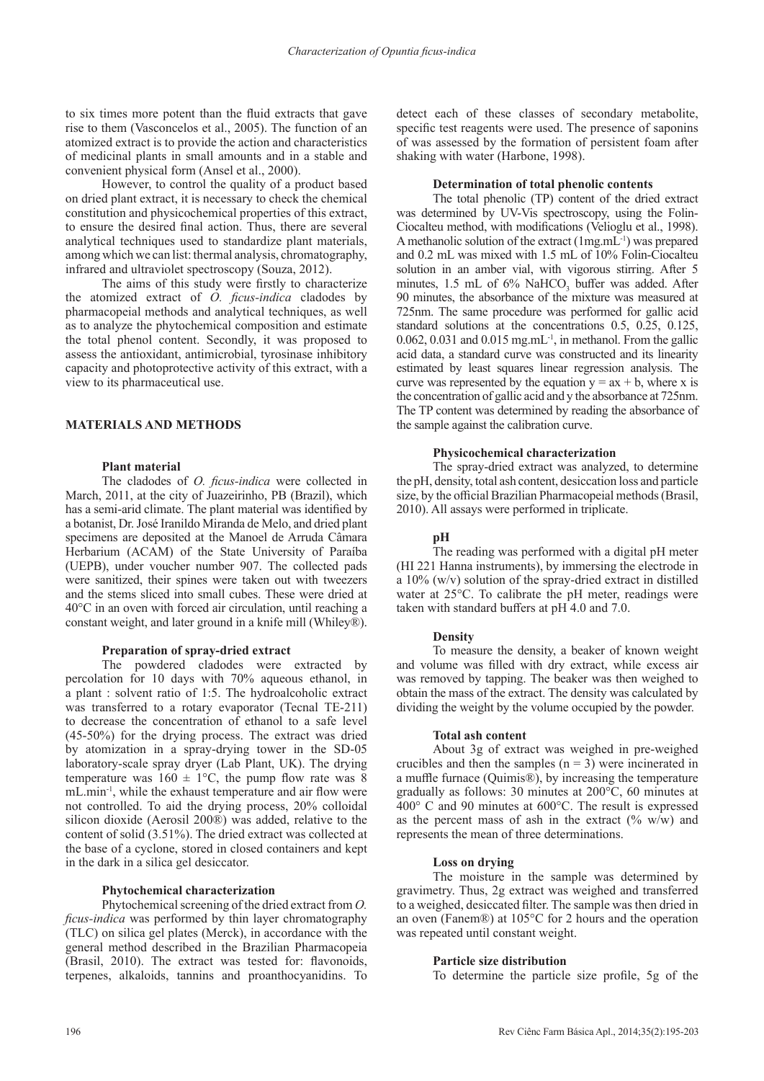to six times more potent than the fluid extracts that gave rise to them (Vasconcelos et al., 2005). The function of an atomized extract is to provide the action and characteristics of medicinal plants in small amounts and in a stable and convenient physical form (Ansel et al., 2000).

However, to control the quality of a product based on dried plant extract, it is necessary to check the chemical constitution and physicochemical properties of this extract, to ensure the desired final action. Thus, there are several analytical techniques used to standardize plant materials, among which we can list: thermal analysis, chromatography, infrared and ultraviolet spectroscopy (Souza, 2012).

The aims of this study were firstly to characterize the atomized extract of *O. ficus-indica* cladodes by pharmacopeial methods and analytical techniques, as well as to analyze the phytochemical composition and estimate the total phenol content. Secondly, it was proposed to assess the antioxidant, antimicrobial, tyrosinase inhibitory capacity and photoprotective activity of this extract, with a view to its pharmaceutical use.

# **MATERIALS AND METHODS**

## **Plant material**

The cladodes of *O. ficus-indica* were collected in March, 2011, at the city of Juazeirinho, PB (Brazil), which has a semi-arid climate. The plant material was identified by a botanist, Dr. José Iranildo Miranda de Melo, and dried plant specimens are deposited at the Manoel de Arruda Câmara Herbarium (ACAM) of the State University of Paraíba (UEPB), under voucher number 907. The collected pads were sanitized, their spines were taken out with tweezers and the stems sliced into small cubes. These were dried at 40°C in an oven with forced air circulation, until reaching a constant weight, and later ground in a knife mill (Whiley®).

## **Preparation of spray-dried extract**

The powdered cladodes were extracted by percolation for 10 days with 70% aqueous ethanol, in a plant : solvent ratio of 1:5. The hydroalcoholic extract was transferred to a rotary evaporator (Tecnal TE-211) to decrease the concentration of ethanol to a safe level (45-50%) for the drying process. The extract was dried by atomization in a spray-drying tower in the SD-05 laboratory-scale spray dryer (Lab Plant, UK). The drying temperature was  $160 \pm 1$ °C, the pump flow rate was 8 mL.min-1, while the exhaust temperature and air flow were not controlled. To aid the drying process, 20% colloidal silicon dioxide (Aerosil 200®) was added, relative to the content of solid (3.51%). The dried extract was collected at the base of a cyclone, stored in closed containers and kept in the dark in a silica gel desiccator.

## **Phytochemical characterization**

Phytochemical screening of the dried extract from *O. ficus-indica* was performed by thin layer chromatography (TLC) on silica gel plates (Merck), in accordance with the general method described in the Brazilian Pharmacopeia (Brasil, 2010). The extract was tested for: flavonoids, terpenes, alkaloids, tannins and proanthocyanidins. To

detect each of these classes of secondary metabolite, specific test reagents were used. The presence of saponins of was assessed by the formation of persistent foam after shaking with water (Harbone, 1998).

## **Determination of total phenolic contents**

The total phenolic (TP) content of the dried extract was determined by UV-Vis spectroscopy, using the Folin-Ciocalteu method, with modifications (Velioglu et al., 1998). A methanolic solution of the extract (1mg.mL-1) was prepared and 0.2 mL was mixed with 1.5 mL of 10% Folin-Ciocalteu solution in an amber vial, with vigorous stirring. After 5 minutes,  $1.5$  mL of  $6\%$  NaHCO<sub>3</sub> buffer was added. After 90 minutes, the absorbance of the mixture was measured at 725nm. The same procedure was performed for gallic acid standard solutions at the concentrations 0.5, 0.25, 0.125, 0.062, 0.031 and 0.015 mg.mL $^{-1}$ , in methanol. From the gallic acid data, a standard curve was constructed and its linearity estimated by least squares linear regression analysis. The curve was represented by the equation  $y = ax + b$ , where x is the concentration of gallic acid and y the absorbance at 725nm. The TP content was determined by reading the absorbance of the sample against the calibration curve.

## **Physicochemical characterization**

The spray-dried extract was analyzed, to determine the pH, density, total ash content, desiccation loss and particle size, by the official Brazilian Pharmacopeial methods (Brasil, 2010). All assays were performed in triplicate.

## **pH**

The reading was performed with a digital pH meter (HI 221 Hanna instruments), by immersing the electrode in a 10% (w/v) solution of the spray-dried extract in distilled water at 25°C. To calibrate the pH meter, readings were taken with standard buffers at pH 4.0 and 7.0.

# **Density**

To measure the density, a beaker of known weight and volume was filled with dry extract, while excess air was removed by tapping. The beaker was then weighed to obtain the mass of the extract. The density was calculated by dividing the weight by the volume occupied by the powder.

#### **Total ash content**

About 3g of extract was weighed in pre-weighed crucibles and then the samples  $(n = 3)$  were incinerated in a muffle furnace (Quimis®), by increasing the temperature gradually as follows: 30 minutes at 200°C, 60 minutes at 400° C and 90 minutes at 600°C. The result is expressed as the percent mass of ash in the extract  $(\% w/w)$  and represents the mean of three determinations.

#### **Loss on drying**

The moisture in the sample was determined by gravimetry. Thus, 2g extract was weighed and transferred to a weighed, desiccated filter. The sample was then dried in an oven (Fanem®) at 105°C for 2 hours and the operation was repeated until constant weight.

## **Particle size distribution**

To determine the particle size profile, 5g of the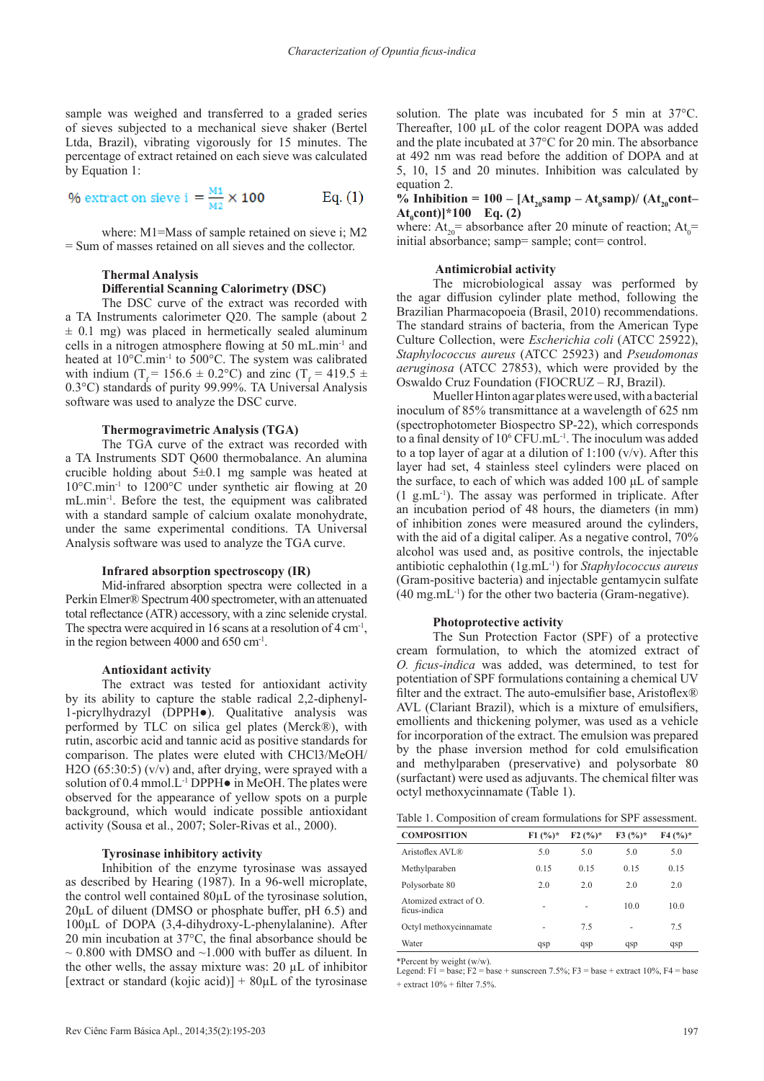sample was weighed and transferred to a graded series of sieves subjected to a mechanical sieve shaker (Bertel Ltda, Brazil), vibrating vigorously for 15 minutes. The percentage of extract retained on each sieve was calculated by Equation 1:

$$
\% \text{ extract on sieve i } = \frac{M1}{M2} \times 100 \qquad \qquad \text{Eq. (1)}
$$

where: M1=Mass of sample retained on sieve i; M2 = Sum of masses retained on all sieves and the collector.

# **Thermal Analysis**

# **Differential Scanning Calorimetry (DSC)**

The DSC curve of the extract was recorded with a TA Instruments calorimeter Q20. The sample (about 2  $\pm$  0.1 mg) was placed in hermetically sealed aluminum cells in a nitrogen atmosphere flowing at 50 mL.min-1 and heated at 10°C.min<sup>-1</sup> to 500°C. The system was calibrated with indium (T<sub>f</sub> = 156.6 ± 0.2°C) and zinc (T<sub>f</sub> = 419.5 ± 0.3°C) standards of purity 99.99%. TA Universal Analysis software was used to analyze the DSC curve.

#### **Thermogravimetric Analysis (TGA)**

The TGA curve of the extract was recorded with a TA Instruments SDT Q600 thermobalance. An alumina crucible holding about  $5\pm0.1$  mg sample was heated at 10°C.min-1 to 1200°C under synthetic air flowing at 20 mL.min-1. Before the test, the equipment was calibrated with a standard sample of calcium oxalate monohydrate, under the same experimental conditions. TA Universal Analysis software was used to analyze the TGA curve.

#### **Infrared absorption spectroscopy (IR)**

Mid-infrared absorption spectra were collected in a Perkin Elmer® Spectrum 400 spectrometer, with an attenuated total reflectance (ATR) accessory, with a zinc selenide crystal. The spectra were acquired in 16 scans at a resolution of  $4 \text{ cm}^3$ , in the region between 4000 and 650 cm-1.

#### **Antioxidant activity**

The extract was tested for antioxidant activity by its ability to capture the stable radical 2,2-diphenyl-1-picrylhydrazyl (DPPH●). Qualitative analysis was performed by TLC on silica gel plates (Merck®), with rutin, ascorbic acid and tannic acid as positive standards for comparison. The plates were eluted with CHCl3/MeOH/ H2O (65:30:5) (v/v) and, after drying, were sprayed with a solution of 0.4 mmol.L<sup>-1</sup> DPPH $\bullet$  in MeOH. The plates were observed for the appearance of yellow spots on a purple background, which would indicate possible antioxidant activity (Sousa et al., 2007; Soler-Rivas et al., 2000).

## **Tyrosinase inhibitory activity**

Inhibition of the enzyme tyrosinase was assayed as described by Hearing (1987). In a 96-well microplate, the control well contained 80µL of the tyrosinase solution,  $20\mu$ L of diluent (DMSO or phosphate buffer, pH 6.5) and 100µL of DOPA (3,4-dihydroxy-L-phenylalanine). After 20 min incubation at 37°C, the final absorbance should be  $\sim 0.800$  with DMSO and  $\sim 1.000$  with buffer as diluent. In the other wells, the assay mixture was: 20 µL of inhibitor [extract or standard (kojic acid)]  $+80 \mu L$  of the tyrosinase

solution. The plate was incubated for 5 min at 37°C. Thereafter, 100 µL of the color reagent DOPA was added and the plate incubated at 37°C for 20 min. The absorbance at 492 nm was read before the addition of DOPA and at 5, 10, 15 and 20 minutes. Inhibition was calculated by equation 2.

# % Inhibition =  $100 - [At_{20} \text{ samp} - At_{0} \text{ samp})/(At_{20} \text{cont} At<sub>0</sub>cont$ <sup>\*</sup>100 Eq. (2)

where:  $At_{20}$  absorbance after 20 minute of reaction;  $At_{0}$  = initial absorbance; samp= sample; cont= control.

#### **Antimicrobial activity**

The microbiological assay was performed by the agar diffusion cylinder plate method, following the Brazilian Pharmacopoeia (Brasil, 2010) recommendations. The standard strains of bacteria, from the American Type Culture Collection, were *Escherichia coli* (ATCC 25922), *Staphylococcus aureus* (ATCC 25923) and *Pseudomonas aeruginosa* (ATCC 27853), which were provided by the Oswaldo Cruz Foundation (FIOCRUZ – RJ, Brazil).

Mueller Hinton agar plates were used, with a bacterial inoculum of 85% transmittance at a wavelength of 625 nm (spectrophotometer Biospectro SP-22), which corresponds to a final density of 10<sup>6</sup> CFU.mL<sup>-1</sup>. The inoculum was added to a top layer of agar at a dilution of  $1:100 \, (v/v)$ . After this layer had set, 4 stainless steel cylinders were placed on the surface, to each of which was added 100 μL of sample  $(1 \text{ g.mL}^{-1})$ . The assay was performed in triplicate. After an incubation period of 48 hours, the diameters (in mm) of inhibition zones were measured around the cylinders, with the aid of a digital caliper. As a negative control, 70% alcohol was used and, as positive controls, the injectable antibiotic cephalothin (1g.mL-1) for *Staphylococcus aureus*  (Gram-positive bacteria) and injectable gentamycin sulfate (40 mg.mL-1) for the other two bacteria (Gram-negative).

#### **Photoprotective activity**

The Sun Protection Factor (SPF) of a protective cream formulation, to which the atomized extract of *O. ficus-indica* was added, was determined, to test for potentiation of SPF formulations containing a chemical UV filter and the extract. The auto-emulsifier base, Aristoflex® AVL (Clariant Brazil), which is a mixture of emulsifiers, emollients and thickening polymer, was used as a vehicle for incorporation of the extract. The emulsion was prepared by the phase inversion method for cold emulsification and methylparaben (preservative) and polysorbate 80 (surfactant) were used as adjuvants. The chemical filter was octyl methoxycinnamate (Table 1).

| Table 1. Composition of cream formulations for SPF assessment. |  |  |  |
|----------------------------------------------------------------|--|--|--|
|----------------------------------------------------------------|--|--|--|

| <b>COMPOSITION</b>                           | $F1(%)^*$ | $F2(%)^*$ | $F3(%)^*$ | $F4(%)*$ |
|----------------------------------------------|-----------|-----------|-----------|----------|
| Aristoflex AVL®                              | 5.0       | 5.0       | 5.0       | 5.0      |
| Methylparaben                                | 0.15      | 0.15      | 0.15      | 0.15     |
| Polysorbate 80                               | 2.0       | 2.0       | 2.0       | 2.0      |
| Atomized extract of $\Omega$<br>ficus-indica | ۰         | ۰         | 10.0      | 10.0     |
| Octyl methoxycinnamate                       | ۰         | 7.5       | ٠         | 7.5      |
| Water                                        | qsp       | qsp       | qsp       | qsp      |

\*Percent by weight (w/w). Legend: F1 = base; F2 = base + sunscreen 7.5%; F3 = base + extract 10%, F4 = base  $+$  extract  $10\% +$  filter 7.5%.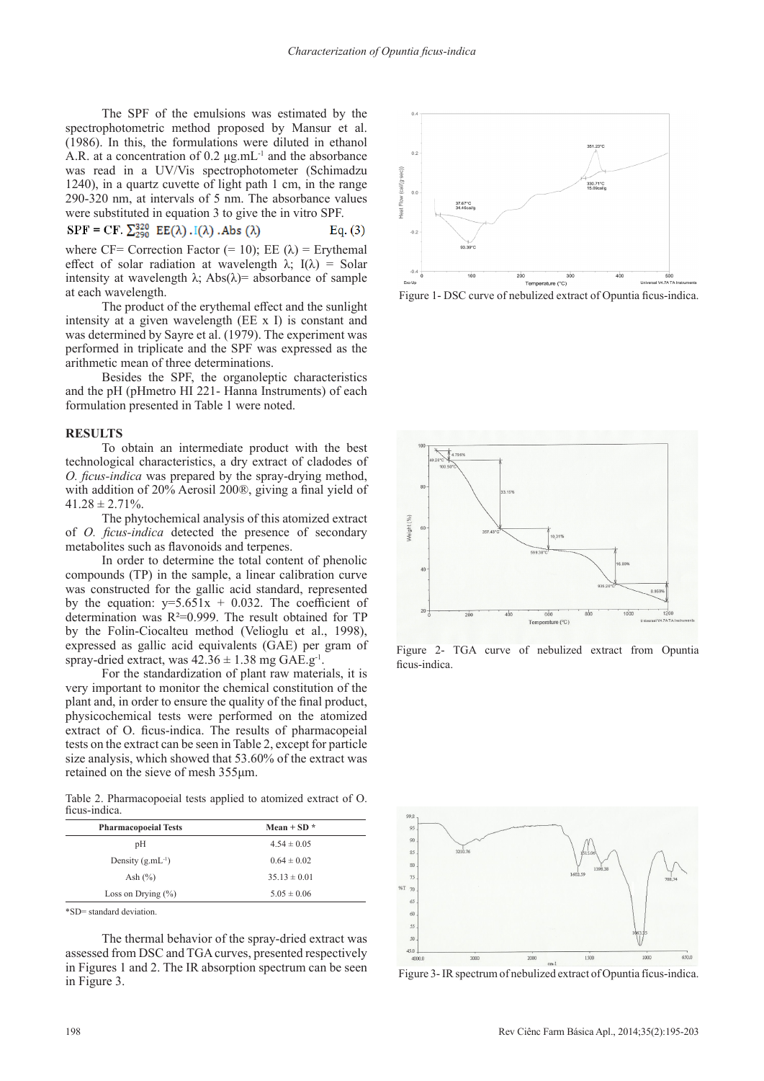The SPF of the emulsions was estimated by the spectrophotometric method proposed by Mansur et al. (1986). In this, the formulations were diluted in ethanol A.R. at a concentration of 0.2 μg.mL-1 and the absorbance was read in a UV/Vis spectrophotometer (Schimadzu 1240), in a quartz cuvette of light path 1 cm, in the range 290-320 nm, at intervals of 5 nm. The absorbance values were substituted in equation 3 to give the in vitro SPF.

$$
SPF = CF. \sum_{n=0}^{320} EE(\lambda). I(\lambda). Abs(\lambda)
$$
 Eq. (3)

where CF= Correction Factor (= 10); EE  $(\lambda)$  = Erythemal effect of solar radiation at wavelength  $\lambda$ ; I( $\lambda$ ) = Solar intensity at wavelength  $\lambda$ ; Abs( $\lambda$ )= absorbance of sample at each wavelength.

The product of the erythemal effect and the sunlight intensity at a given wavelength (EE x I) is constant and was determined by Sayre et al. (1979). The experiment was performed in triplicate and the SPF was expressed as the arithmetic mean of three determinations.

Besides the SPF, the organoleptic characteristics and the pH (pHmetro HI 221- Hanna Instruments) of each formulation presented in Table 1 were noted.

## **RESULTS**

To obtain an intermediate product with the best technological characteristics, a dry extract of cladodes of *O. ficus-indica* was prepared by the spray-drying method, with addition of 20% Aerosil 200®, giving a final yield of  $41.28 \pm 2.71\%$ .

The phytochemical analysis of this atomized extract of *O. ficus-indica* detected the presence of secondary metabolites such as flavonoids and terpenes.

In order to determine the total content of phenolic compounds (TP) in the sample, a linear calibration curve was constructed for the gallic acid standard, represented by the equation:  $y=5.651x + 0.032$ . The coefficient of determination was R²=0.999. The result obtained for TP by the Folin-Ciocalteu method (Velioglu et al., 1998), expressed as gallic acid equivalents (GAE) per gram of spray-dried extract, was  $42.36 \pm 1.38$  mg GAE.g<sup>-1</sup>.

For the standardization of plant raw materials, it is very important to monitor the chemical constitution of the plant and, in order to ensure the quality of the final product, physicochemical tests were performed on the atomized extract of O. ficus-indica. The results of pharmacopeial tests on the extract can be seen in Table 2, except for particle size analysis, which showed that 53.60% of the extract was retained on the sieve of mesh 355μm.

Table 2. Pharmacopoeial tests applied to atomized extract of O. ficus-indica.

| <b>Pharmacopoeial Tests</b> | Mean + SD $*$    |
|-----------------------------|------------------|
| pH                          | $4.54 \pm 0.05$  |
| Density $(g.mL^{-1})$       | $0.64 \pm 0.02$  |
| Ash $(\%)$                  | $35.13 \pm 0.01$ |
| Loss on Drying $(\%)$       | $5.05 \pm 0.06$  |
|                             |                  |

\*SD= standard deviation.

The thermal behavior of the spray-dried extract was assessed from DSC and TGA curves, presented respectively in Figures 1 and 2. The IR absorption spectrum can be seen in Figure 3.



Figure 1- DSC curve of nebulized extract of Opuntia ficus-indica.



Figure 2- TGA curve of nebulized extract from Opuntia ficus-indica.



Figure 3- IR spectrum of nebulized extract of Opuntia fícus-indica.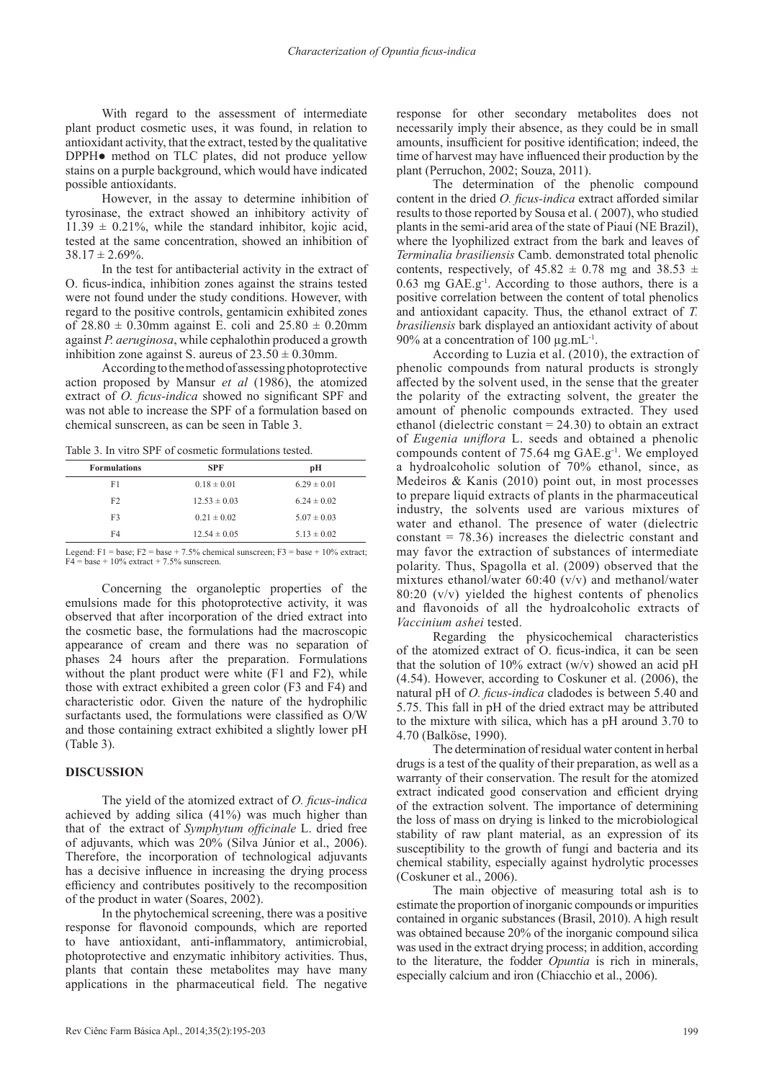With regard to the assessment of intermediate plant product cosmetic uses, it was found, in relation to antioxidant activity, that the extract, tested by the qualitative DPPH● method on TLC plates, did not produce yellow stains on a purple background, which would have indicated possible antioxidants.

However, in the assay to determine inhibition of tyrosinase, the extract showed an inhibitory activity of  $11.39 \pm 0.21\%$ , while the standard inhibitor, kojic acid, tested at the same concentration, showed an inhibition of  $38.17 \pm 2.69\%$ .

In the test for antibacterial activity in the extract of O. ficus-indica, inhibition zones against the strains tested were not found under the study conditions. However, with regard to the positive controls, gentamicin exhibited zones of  $28.80 \pm 0.30$  mm against E. coli and  $25.80 \pm 0.20$  mm against *P. aeruginosa*, while cephalothin produced a growth inhibition zone against S. aureus of  $23.50 \pm 0.30$ mm.

According to the method of assessing photoprotective action proposed by Mansur *et al* (1986), the atomized extract of *O. ficus-indica* showed no significant SPF and was not able to increase the SPF of a formulation based on chemical sunscreen, as can be seen in Table 3.

Table 3. In vitro SPF of cosmetic formulations tested.

| <b>Formulations</b> | <b>SPF</b>       | рH              |
|---------------------|------------------|-----------------|
| F1                  | $0.18 \pm 0.01$  | $6.29 \pm 0.01$ |
| F2                  | $12.53 \pm 0.03$ | $6.24 \pm 0.02$ |
| F3                  | $0.21 \pm 0.02$  | $5.07 \pm 0.03$ |
| F4                  | $12.54 \pm 0.05$ | $5.13 \pm 0.02$ |
|                     |                  |                 |

Legend: F1 = base; F2 = base + 7.5% chemical sunscreen; F3 = base + 10% extract; F4 = base + 10% extract + 7.5% sunscreen.

Concerning the organoleptic properties of the emulsions made for this photoprotective activity, it was observed that after incorporation of the dried extract into the cosmetic base, the formulations had the macroscopic appearance of cream and there was no separation of phases 24 hours after the preparation. Formulations without the plant product were white (F1 and F2), while those with extract exhibited a green color (F3 and F4) and characteristic odor. Given the nature of the hydrophilic surfactants used, the formulations were classified as O/W and those containing extract exhibited a slightly lower pH (Table 3).

# **DISCUSSION**

The yield of the atomized extract of *O. ficus-indica*  achieved by adding silica (41%) was much higher than that of the extract of *Symphytum officinale* L. dried free of adjuvants, which was 20% (Silva Júnior et al., 2006). Therefore, the incorporation of technological adjuvants has a decisive influence in increasing the drying process efficiency and contributes positively to the recomposition of the product in water (Soares, 2002).

In the phytochemical screening, there was a positive response for flavonoid compounds, which are reported to have antioxidant, anti-inflammatory, antimicrobial, photoprotective and enzymatic inhibitory activities. Thus, plants that contain these metabolites may have many applications in the pharmaceutical field. The negative

response for other secondary metabolites does not necessarily imply their absence, as they could be in small amounts, insufficient for positive identification; indeed, the time of harvest may have influenced their production by the plant (Perruchon, 2002; Souza, 2011).

The determination of the phenolic compound content in the dried *O. ficus-indica* extract afforded similar results to those reported by Sousa et al. ( 2007), who studied plants in the semi-arid area of the state of Piauí (NE Brazil), where the lyophilized extract from the bark and leaves of *Terminalia brasiliensis* Camb. demonstrated total phenolic contents, respectively, of  $45.82 \pm 0.78$  mg and  $38.53 \pm 0.78$  $0.63$  mg GAE.g<sup>-1</sup>. According to those authors, there is a positive correlation between the content of total phenolics and antioxidant capacity. Thus, the ethanol extract of *T. brasiliensis* bark displayed an antioxidant activity of about 90% at a concentration of 100  $\mu$ g.mL<sup>-1</sup>.

According to Luzia et al. (2010), the extraction of phenolic compounds from natural products is strongly affected by the solvent used, in the sense that the greater the polarity of the extracting solvent, the greater the amount of phenolic compounds extracted. They used ethanol (dielectric constant = 24.30) to obtain an extract of *Eugenia uniflora* L. seeds and obtained a phenolic compounds content of  $75.64$  mg  $GAE.g^{-1}$ . We employed a hydroalcoholic solution of 70% ethanol, since, as Medeiros & Kanis (2010) point out, in most processes to prepare liquid extracts of plants in the pharmaceutical industry, the solvents used are various mixtures of water and ethanol. The presence of water (dielectric constant  $= 78.36$ ) increases the dielectric constant and may favor the extraction of substances of intermediate polarity. Thus, Spagolla et al. (2009) observed that the mixtures ethanol/water 60:40 (v/v) and methanol/water  $80:20$  (v/v) yielded the highest contents of phenolics and flavonoids of all the hydroalcoholic extracts of *Vaccinium ashei* tested.

Regarding the physicochemical characteristics of the atomized extract of O. ficus-indica, it can be seen that the solution of 10% extract  $(w/v)$  showed an acid pH (4.54). However, according to Coskuner et al. (2006), the natural pH of *O. ficus-indica* cladodes is between 5.40 and 5.75. This fall in pH of the dried extract may be attributed to the mixture with silica, which has a pH around 3.70 to 4.70 (Balköse, 1990).

The determination of residual water content in herbal drugs is a test of the quality of their preparation, as well as a warranty of their conservation. The result for the atomized extract indicated good conservation and efficient drying of the extraction solvent. The importance of determining the loss of mass on drying is linked to the microbiological stability of raw plant material, as an expression of its susceptibility to the growth of fungi and bacteria and its chemical stability, especially against hydrolytic processes (Coskuner et al., 2006).

The main objective of measuring total ash is to estimate the proportion of inorganic compounds or impurities contained in organic substances (Brasil, 2010). A high result was obtained because 20% of the inorganic compound silica was used in the extract drying process; in addition, according to the literature, the fodder *Opuntia* is rich in minerals, especially calcium and iron (Chiacchio et al., 2006).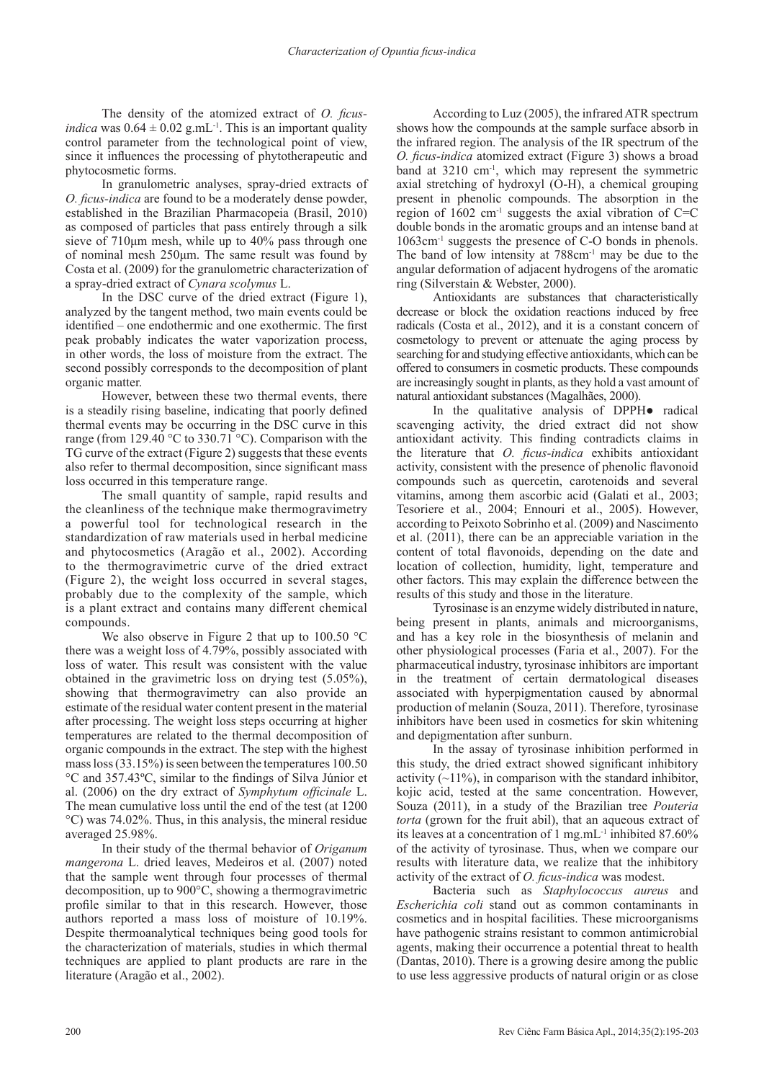The density of the atomized extract of *O. ficusindica* was  $0.64 \pm 0.02$  g.mL<sup>-1</sup>. This is an important quality control parameter from the technological point of view, since it influences the processing of phytotherapeutic and phytocosmetic forms.

In granulometric analyses, spray-dried extracts of *O. ficus-indica* are found to be a moderately dense powder, established in the Brazilian Pharmacopeia (Brasil, 2010) as composed of particles that pass entirely through a silk sieve of 710μm mesh, while up to 40% pass through one of nominal mesh 250μm. The same result was found by Costa et al. (2009) for the granulometric characterization of a spray-dried extract of *Cynara scolymus* L.

In the DSC curve of the dried extract (Figure 1), analyzed by the tangent method, two main events could be identified – one endothermic and one exothermic. The first peak probably indicates the water vaporization process, in other words, the loss of moisture from the extract. The second possibly corresponds to the decomposition of plant organic matter.

However, between these two thermal events, there is a steadily rising baseline, indicating that poorly defined thermal events may be occurring in the DSC curve in this range (from 129.40 °C to 330.71 °C). Comparison with the TG curve of the extract (Figure 2) suggests that these events also refer to thermal decomposition, since significant mass loss occurred in this temperature range.

The small quantity of sample, rapid results and the cleanliness of the technique make thermogravimetry a powerful tool for technological research in the standardization of raw materials used in herbal medicine and phytocosmetics (Aragão et al., 2002). According to the thermogravimetric curve of the dried extract (Figure 2), the weight loss occurred in several stages, probably due to the complexity of the sample, which is a plant extract and contains many different chemical compounds.

We also observe in Figure 2 that up to 100.50 °C there was a weight loss of 4.79%, possibly associated with loss of water. This result was consistent with the value obtained in the gravimetric loss on drying test (5.05%), showing that thermogravimetry can also provide an estimate of the residual water content present in the material after processing. The weight loss steps occurring at higher temperatures are related to the thermal decomposition of organic compounds in the extract. The step with the highest mass loss (33.15%) is seen between the temperatures 100.50 °C and 357.43ºC, similar to the findings of Silva Júnior et al. (2006) on the dry extract of *Symphytum officinale* L. The mean cumulative loss until the end of the test (at 1200 °C) was 74.02%. Thus, in this analysis, the mineral residue averaged 25.98%.

In their study of the thermal behavior of *Origanum mangerona* L. dried leaves, Medeiros et al. (2007) noted that the sample went through four processes of thermal decomposition, up to 900°C, showing a thermogravimetric profile similar to that in this research. However, those authors reported a mass loss of moisture of 10.19%. Despite thermoanalytical techniques being good tools for the characterization of materials, studies in which thermal techniques are applied to plant products are rare in the literature (Aragão et al., 2002).

According to Luz (2005), the infrared ATR spectrum shows how the compounds at the sample surface absorb in the infrared region. The analysis of the IR spectrum of the *O. ficus-indica* atomized extract (Figure 3) shows a broad band at 3210 cm-1, which may represent the symmetric axial stretching of hydroxyl (O-H), a chemical grouping present in phenolic compounds. The absorption in the region of  $1602 \text{ cm}^{-1}$  suggests the axial vibration of C=C double bonds in the aromatic groups and an intense band at 1063cm-1 suggests the presence of C-O bonds in phenols. The band of low intensity at  $788 \text{cm}^{-1}$  may be due to the angular deformation of adjacent hydrogens of the aromatic ring (Silverstain & Webster, 2000).

Antioxidants are substances that characteristically decrease or block the oxidation reactions induced by free radicals (Costa et al., 2012), and it is a constant concern of cosmetology to prevent or attenuate the aging process by searching for and studying effective antioxidants, which can be offered to consumers in cosmetic products. These compounds are increasingly sought in plants, as they hold a vast amount of natural antioxidant substances (Magalhães, 2000).

In the qualitative analysis of DPPH● radical scavenging activity, the dried extract did not show antioxidant activity. This finding contradicts claims in the literature that *O. ficus-indica* exhibits antioxidant activity, consistent with the presence of phenolic flavonoid compounds such as quercetin, carotenoids and several vitamins, among them ascorbic acid (Galati et al., 2003; Tesoriere et al., 2004; Ennouri et al., 2005). However, according to Peixoto Sobrinho et al. (2009) and Nascimento et al. (2011), there can be an appreciable variation in the content of total flavonoids, depending on the date and location of collection, humidity, light, temperature and other factors. This may explain the difference between the results of this study and those in the literature.

Tyrosinase is an enzyme widely distributed in nature, being present in plants, animals and microorganisms, and has a key role in the biosynthesis of melanin and other physiological processes (Faria et al., 2007). For the pharmaceutical industry, tyrosinase inhibitors are important in the treatment of certain dermatological diseases associated with hyperpigmentation caused by abnormal production of melanin (Souza, 2011). Therefore, tyrosinase inhibitors have been used in cosmetics for skin whitening and depigmentation after sunburn.

In the assay of tyrosinase inhibition performed in this study, the dried extract showed significant inhibitory activity  $(\sim 11\%)$ , in comparison with the standard inhibitor, kojic acid, tested at the same concentration. However, Souza (2011), in a study of the Brazilian tree *Pouteria torta* (grown for the fruit abil), that an aqueous extract of its leaves at a concentration of 1 mg.mL-1 inhibited 87.60% of the activity of tyrosinase. Thus, when we compare our results with literature data, we realize that the inhibitory activity of the extract of *O. ficus-indica* was modest.

Bacteria such as *Staphylococcus aureus* and *Escherichia coli* stand out as common contaminants in cosmetics and in hospital facilities. These microorganisms have pathogenic strains resistant to common antimicrobial agents, making their occurrence a potential threat to health (Dantas, 2010). There is a growing desire among the public to use less aggressive products of natural origin or as close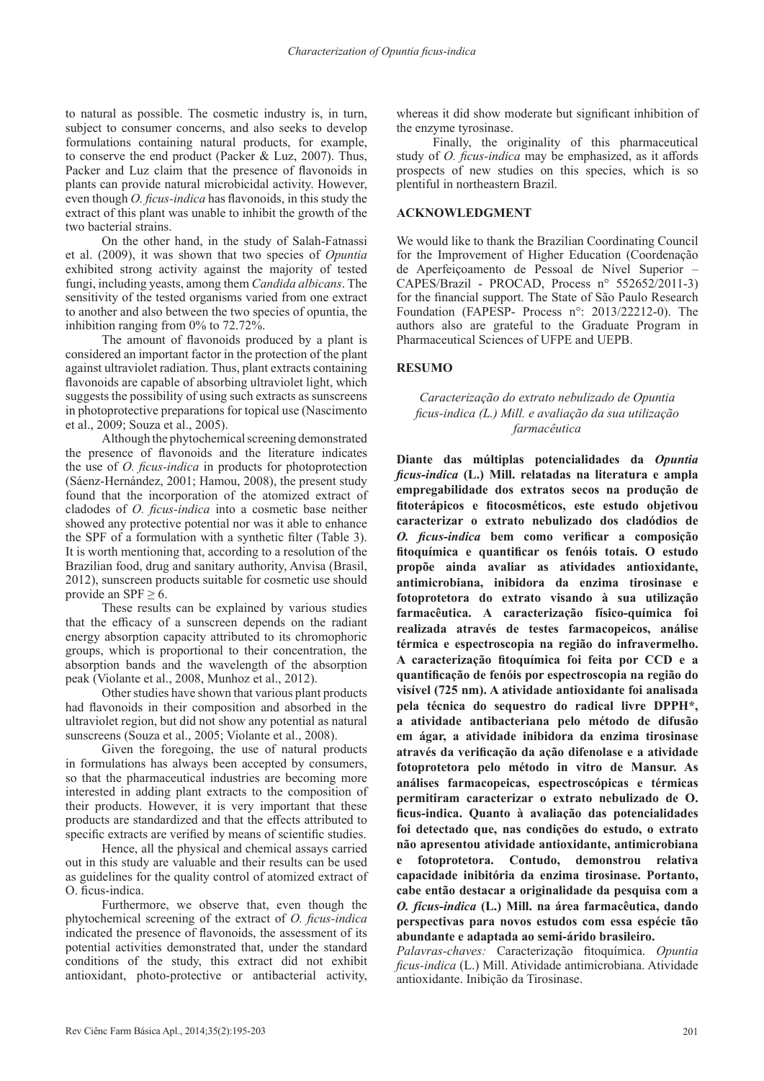to natural as possible. The cosmetic industry is, in turn, subject to consumer concerns, and also seeks to develop formulations containing natural products, for example, to conserve the end product (Packer & Luz, 2007). Thus, Packer and Luz claim that the presence of flavonoids in plants can provide natural microbicidal activity. However, even though *O. ficus-indica* has flavonoids, in this study the extract of this plant was unable to inhibit the growth of the two bacterial strains.

On the other hand, in the study of Salah-Fatnassi et al. (2009), it was shown that two species of *Opuntia*  exhibited strong activity against the majority of tested fungi, including yeasts, among them *Candida albicans*. The sensitivity of the tested organisms varied from one extract to another and also between the two species of opuntia, the inhibition ranging from 0% to 72.72%.

The amount of flavonoids produced by a plant is considered an important factor in the protection of the plant against ultraviolet radiation. Thus, plant extracts containing flavonoids are capable of absorbing ultraviolet light, which suggests the possibility of using such extracts as sunscreens in photoprotective preparations for topical use (Nascimento et al., 2009; Souza et al., 2005).

Although the phytochemical screening demonstrated the presence of flavonoids and the literature indicates the use of *O. ficus-indica* in products for photoprotection (Sáenz-Hernández, 2001; Hamou, 2008), the present study found that the incorporation of the atomized extract of cladodes of *O. ficus-indica* into a cosmetic base neither showed any protective potential nor was it able to enhance the SPF of a formulation with a synthetic filter (Table 3). It is worth mentioning that, according to a resolution of the Brazilian food, drug and sanitary authority, Anvisa (Brasil, 2012), sunscreen products suitable for cosmetic use should provide an SPF  $\geq 6$ .

These results can be explained by various studies that the efficacy of a sunscreen depends on the radiant energy absorption capacity attributed to its chromophoric groups, which is proportional to their concentration, the absorption bands and the wavelength of the absorption peak (Violante et al., 2008, Munhoz et al., 2012).

Other studies have shown that various plant products had flavonoids in their composition and absorbed in the ultraviolet region, but did not show any potential as natural sunscreens (Souza et al., 2005; Violante et al., 2008).

Given the foregoing, the use of natural products in formulations has always been accepted by consumers, so that the pharmaceutical industries are becoming more interested in adding plant extracts to the composition of their products. However, it is very important that these products are standardized and that the effects attributed to specific extracts are verified by means of scientific studies.

Hence, all the physical and chemical assays carried out in this study are valuable and their results can be used as guidelines for the quality control of atomized extract of O. ficus-indica.

Furthermore, we observe that, even though the phytochemical screening of the extract of *O. ficus-indica*  indicated the presence of flavonoids, the assessment of its potential activities demonstrated that, under the standard conditions of the study, this extract did not exhibit antioxidant, photo-protective or antibacterial activity,

whereas it did show moderate but significant inhibition of the enzyme tyrosinase.

Finally, the originality of this pharmaceutical study of *O. ficus-indica* may be emphasized, as it affords prospects of new studies on this species, which is so plentiful in northeastern Brazil.

# **ACKNOWLEDGMENT**

We would like to thank the Brazilian Coordinating Council for the Improvement of Higher Education (Coordenação de Aperfeiçoamento de Pessoal de Nível Superior – CAPES/Brazil - PROCAD, Process n° 552652/2011-3) for the financial support. The State of São Paulo Research Foundation (FAPESP- Process n°: 2013/22212-0). The authors also are grateful to the Graduate Program in Pharmaceutical Sciences of UFPE and UEPB.

# **RESUMO**

# *Caracterização do extrato nebulizado de Opuntia ficus-indica (L.) Mill. e avaliação da sua utilização farmacêutica*

**Diante das múltiplas potencialidades da** *Opuntia ficus-indica* **(L.) Mill. relatadas na literatura e ampla empregabilidade dos extratos secos na produção de fitoterápicos e fitocosméticos, este estudo objetivou caracterizar o extrato nebulizado dos cladódios de**  *O. ficus-indica* **bem como verificar a composição fitoquímica e quantificar os fenóis totais. O estudo propõe ainda avaliar as atividades antioxidante, antimicrobiana, inibidora da enzima tirosinase e fotoprotetora do extrato visando à sua utilização farmacêutica. A caracterização físico-química foi realizada através de testes farmacopeicos, análise térmica e espectroscopia na região do infravermelho. A caracterização fitoquímica foi feita por CCD e a quantificação de fenóis por espectroscopia na região do visível (725 nm). A atividade antioxidante foi analisada pela técnica do sequestro do radical livre DPPH\*, a atividade antibacteriana pelo método de difusão em ágar, a atividade inibidora da enzima tirosinase através da verificação da ação difenolase e a atividade fotoprotetora pelo método in vitro de Mansur. As análises farmacopeicas, espectroscópicas e térmicas permitiram caracterizar o extrato nebulizado de O. ficus-indica. Quanto à avaliação das potencialidades foi detectado que, nas condições do estudo, o extrato não apresentou atividade antioxidante, antimicrobiana e fotoprotetora. Contudo, demonstrou relativa capacidade inibitória da enzima tirosinase. Portanto, cabe então destacar a originalidade da pesquisa com a**  *O. fícus-indica* **(L.) Mill. na área farmacêutica, dando perspectivas para novos estudos com essa espécie tão abundante e adaptada ao semi-árido brasileiro.**

*Palavras-chaves:* Caracterização fitoquímica. *Opuntia ficus-indica* (L.) Mill. Atividade antimicrobiana. Atividade antioxidante. Inibição da Tirosinase.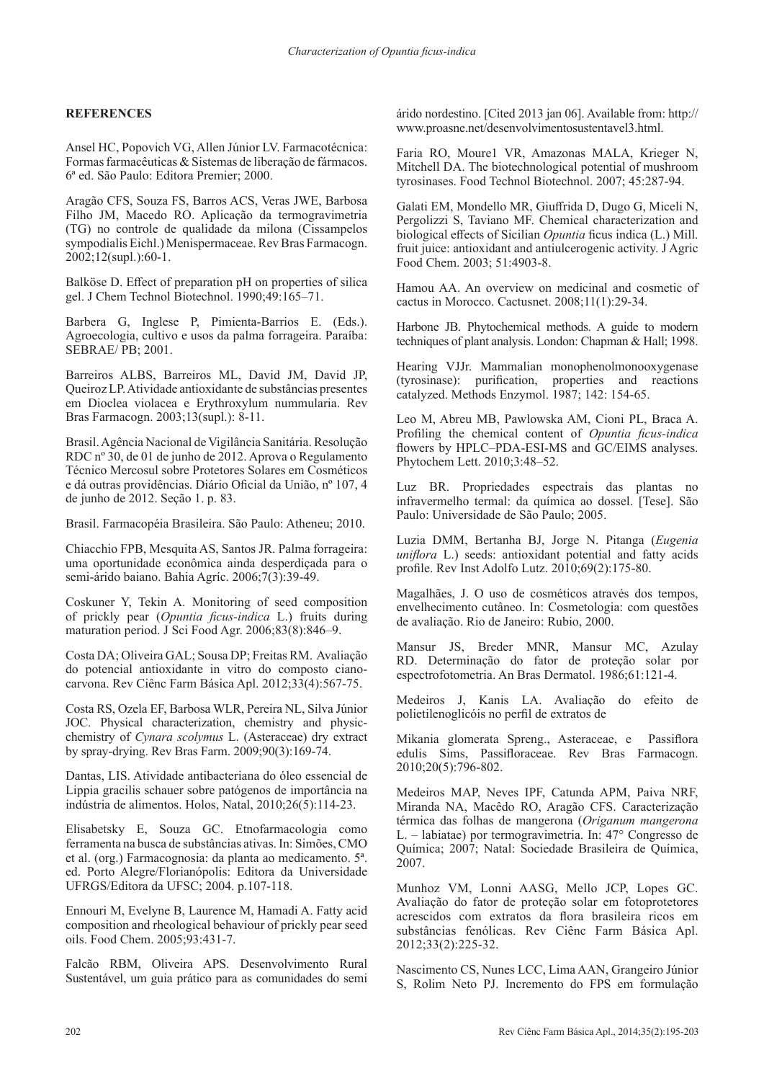# **REFERENCES**

Ansel HC, Popovich VG, Allen Júnior LV. Farmacotécnica: Formas farmacêuticas & Sistemas de liberação de fármacos. 6ª ed. São Paulo: Editora Premier; 2000.

Aragão CFS, Souza FS, Barros ACS, Veras JWE, Barbosa Filho JM, Macedo RO. Aplicação da termogravimetria (TG) no controle de qualidade da milona (Cissampelos sympodialis Eichl.) Menispermaceae. Rev Bras Farmacogn. 2002;12(supl.):60-1.

Balköse D. Effect of preparation pH on properties of silica gel. J Chem Technol Biotechnol. 1990;49:165–71.

Barbera G, Inglese P, Pimienta-Barrios E. (Eds.). Agroecologia, cultivo e usos da palma forrageira. Paraíba: SEBRAE/ PB; 2001.

Barreiros ALBS, Barreiros ML, David JM, David JP, Queiroz LP. Atividade antioxidante de substâncias presentes em Dioclea violacea e Erythroxylum nummularia. Rev Bras Farmacogn. 2003;13(supl.): 8-11.

Brasil. Agência Nacional de Vigilância Sanitária. Resolução RDC nº 30, de 01 de junho de 2012. Aprova o Regulamento Técnico Mercosul sobre Protetores Solares em Cosméticos e dá outras providências. Diário Oficial da União, nº 107, 4 de junho de 2012. Seção 1. p. 83.

Brasil. Farmacopéia Brasileira. São Paulo: Atheneu; 2010.

Chiacchio FPB, Mesquita AS, Santos JR. Palma forrageira: uma oportunidade econômica ainda desperdiçada para o semi-árido baiano. Bahia Agríc. 2006;7(3):39-49.

Coskuner Y, Tekin A. Monitoring of seed composition of prickly pear (*Opuntia ficus-indica* L.) fruits during maturation period. J Sci Food Agr. 2006;83(8):846–9.

Costa DA; Oliveira GAL; Sousa DP; Freitas RM. Avaliação do potencial antioxidante in vitro do composto cianocarvona. Rev Ciênc Farm Básica Apl. 2012;33(4):567-75.

Costa RS, Ozela EF, Barbosa WLR, Pereira NL, Silva Júnior JOC. Physical characterization, chemistry and physicchemistry of *Cynara scolymus* L. (Asteraceae) dry extract by spray-drying. Rev Bras Farm. 2009;90(3):169-74.

Dantas, LIS. Atividade antibacteriana do óleo essencial de Lippia gracilis schauer sobre patógenos de importância na indústria de alimentos. Holos, Natal, 2010;26(5):114-23.

Elisabetsky E, Souza GC. Etnofarmacologia como ferramenta na busca de substâncias ativas. In: Simões, CMO et al. (org.) Farmacognosia: da planta ao medicamento. 5ª. ed. Porto Alegre/Florianópolis: Editora da Universidade UFRGS/Editora da UFSC; 2004. p.107-118.

Ennouri M, Evelyne B, Laurence M, Hamadi A. Fatty acid composition and rheological behaviour of prickly pear seed oils. Food Chem. 2005;93:431-7.

Falcão RBM, Oliveira APS. Desenvolvimento Rural Sustentável, um guia prático para as comunidades do semi árido nordestino. [Cited 2013 jan 06]. Available from: http:// www.proasne.net/desenvolvimentosustentavel3.html.

Faria RO, Moure1 VR, Amazonas MALA, Krieger N, Mitchell DA. The biotechnological potential of mushroom tyrosinases. Food Technol Biotechnol. 2007; 45:287-94.

Galati EM, Mondello MR, Giuffrida D, Dugo G, Miceli N, Pergolizzi S, Taviano MF. Chemical characterization and biological effects of Sicilian *Opuntia* ficus indica (L.) Mill. fruit juice: antioxidant and antiulcerogenic activity. J Agric Food Chem. 2003; 51:4903-8.

Hamou AA. An overview on medicinal and cosmetic of cactus in Morocco. Cactusnet. 2008;11(1):29-34.

Harbone JB. Phytochemical methods. A guide to modern techniques of plant analysis. London: Chapman & Hall; 1998.

Hearing VJJr. Mammalian monophenolmonooxygenase (tyrosinase): purification, properties and reactions catalyzed. Methods Enzymol. 1987; 142: 154-65.

Leo M, Abreu MB, Pawlowska AM, Cioni PL, Braca A. Profiling the chemical content of *Opuntia ficus-indica*  flowers by HPLC–PDA-ESI-MS and GC/EIMS analyses. Phytochem Lett. 2010;3:48–52.

Luz BR. Propriedades espectrais das plantas no infravermelho termal: da química ao dossel. [Tese]. São Paulo: Universidade de São Paulo; 2005.

Luzia DMM, Bertanha BJ, Jorge N. Pitanga (*Eugenia uniflora* L.) seeds: antioxidant potential and fatty acids profile. Rev Inst Adolfo Lutz. 2010;69(2):175-80.

Magalhães, J. O uso de cosméticos através dos tempos, envelhecimento cutâneo. In: Cosmetologia: com questões de avaliação. Rio de Janeiro: Rubio, 2000.

Mansur JS, Breder MNR, Mansur MC, Azulay RD. Determinação do fator de proteção solar por espectrofotometria. An Bras Dermatol. 1986;61:121-4.

Medeiros J, Kanis LA. Avaliação do efeito de polietilenoglicóis no perfil de extratos de

Mikania glomerata Spreng., Asteraceae, e Passiflora edulis Sims, Passifloraceae. Rev Bras Farmacogn. 2010;20(5):796-802.

Medeiros MAP, Neves IPF, Catunda APM, Paiva NRF, Miranda NA, Macêdo RO, Aragão CFS. Caracterização térmica das folhas de mangerona (*Origanum mangerona*  L. – labiatae) por termogravimetria. In: 47° Congresso de Química; 2007; Natal: Sociedade Brasileira de Química, 2007.

Munhoz VM, Lonni AASG, Mello JCP, Lopes GC. Avaliação do fator de proteção solar em fotoprotetores acrescidos com extratos da flora brasileira ricos em substâncias fenólicas. Rev Ciênc Farm Básica Apl. 2012;33(2):225-32.

Nascimento CS, Nunes LCC, Lima AAN, Grangeiro Júnior S, Rolim Neto PJ. Incremento do FPS em formulação